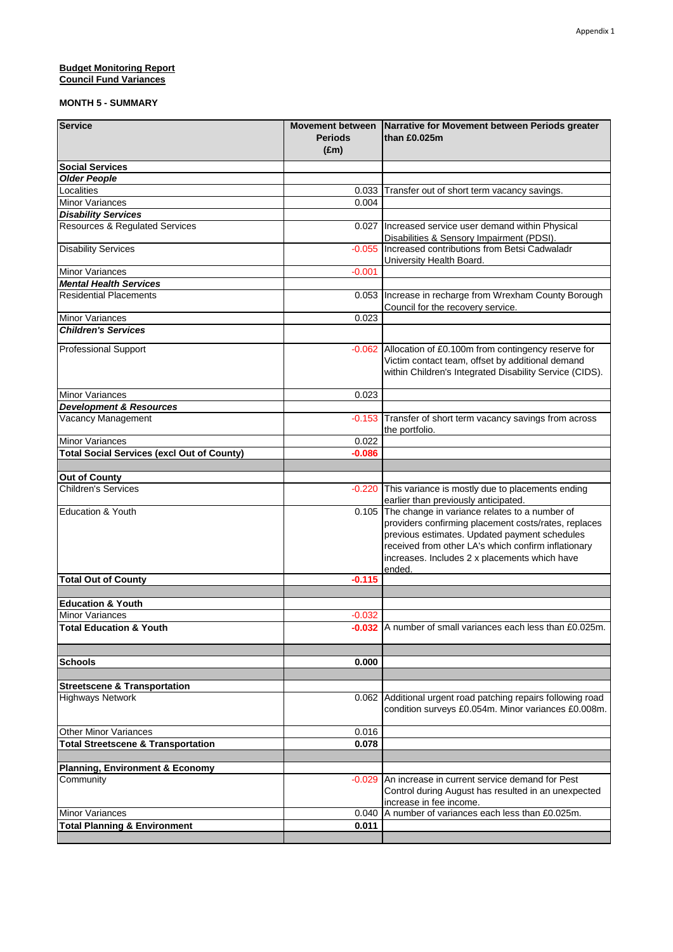#### **Budget Monitoring Report** 5.0000 **5.000 5.000 5.000 5.000 5.000 5.000 5.000 5.000 5.000 5.000 5.000 5.000 5.000 5.000 5.000 5.000 5.000 5.000 5.000 5.000 5.000 5.000 5.000 5.000 5.000 5.000 5.000 5.000 5.000 5.000 5.000 5 Council Fund Variances**

| <b>Service</b>                                    | <b>Movement between</b><br><b>Periods</b><br>$(\text{Em})$ | Narrative for Movement between Periods greater<br>than £0.025m                                                                                                                                                                                                                 |
|---------------------------------------------------|------------------------------------------------------------|--------------------------------------------------------------------------------------------------------------------------------------------------------------------------------------------------------------------------------------------------------------------------------|
| <b>Social Services</b>                            |                                                            |                                                                                                                                                                                                                                                                                |
| <b>Older People</b>                               |                                                            |                                                                                                                                                                                                                                                                                |
| Localities                                        | 0.033                                                      | Transfer out of short term vacancy savings.                                                                                                                                                                                                                                    |
| <b>Minor Variances</b>                            | 0.004                                                      |                                                                                                                                                                                                                                                                                |
| <b>Disability Services</b>                        |                                                            |                                                                                                                                                                                                                                                                                |
| <b>Resources &amp; Regulated Services</b>         |                                                            | 0.027   Increased service user demand within Physical<br>Disabilities & Sensory Impairment (PDSI).                                                                                                                                                                             |
| <b>Disability Services</b>                        | $-0.055$                                                   | Increased contributions from Betsi Cadwaladr<br>University Health Board.                                                                                                                                                                                                       |
| <b>Minor Variances</b>                            | $-0.001$                                                   |                                                                                                                                                                                                                                                                                |
| <b>Mental Health Services</b>                     |                                                            |                                                                                                                                                                                                                                                                                |
| <b>Residential Placements</b>                     | 0.053                                                      | Increase in recharge from Wrexham County Borough<br>Council for the recovery service.                                                                                                                                                                                          |
| <b>Minor Variances</b>                            | 0.023                                                      |                                                                                                                                                                                                                                                                                |
| <b>Children's Services</b>                        |                                                            |                                                                                                                                                                                                                                                                                |
| <b>Professional Support</b>                       |                                                            | -0.062 Allocation of £0.100m from contingency reserve for<br>Victim contact team, offset by additional demand<br>within Children's Integrated Disability Service (CIDS).                                                                                                       |
| <b>Minor Variances</b>                            | 0.023                                                      |                                                                                                                                                                                                                                                                                |
| <b>Development &amp; Resources</b>                |                                                            |                                                                                                                                                                                                                                                                                |
| Vacancy Management                                | $-0.153$                                                   | Transfer of short term vacancy savings from across<br>the portfolio.                                                                                                                                                                                                           |
| <b>Minor Variances</b>                            | 0.022                                                      |                                                                                                                                                                                                                                                                                |
| <b>Total Social Services (excl Out of County)</b> | $-0.086$                                                   |                                                                                                                                                                                                                                                                                |
|                                                   |                                                            |                                                                                                                                                                                                                                                                                |
| <b>Out of County</b>                              |                                                            |                                                                                                                                                                                                                                                                                |
| <b>Children's Services</b>                        | $-0.220$                                                   | This variance is mostly due to placements ending<br>earlier than previously anticipated.                                                                                                                                                                                       |
| <b>Education &amp; Youth</b>                      |                                                            | 0.105 The change in variance relates to a number of<br>providers confirming placement costs/rates, replaces<br>previous estimates. Updated payment schedules<br>received from other LA's which confirm inflationary<br>increases. Includes 2 x placements which have<br>ended. |
| <b>Total Out of County</b>                        | $-0.115$                                                   |                                                                                                                                                                                                                                                                                |
|                                                   |                                                            |                                                                                                                                                                                                                                                                                |
| <b>Education &amp; Youth</b>                      |                                                            |                                                                                                                                                                                                                                                                                |
| Minor Variances                                   | $-0.032$                                                   |                                                                                                                                                                                                                                                                                |
| <b>Total Education &amp; Youth</b>                |                                                            | -0.032 A number of small variances each less than £0.025m.                                                                                                                                                                                                                     |
|                                                   |                                                            |                                                                                                                                                                                                                                                                                |
| <b>Schools</b>                                    | 0.000                                                      |                                                                                                                                                                                                                                                                                |
|                                                   |                                                            |                                                                                                                                                                                                                                                                                |
| <b>Streetscene &amp; Transportation</b>           |                                                            |                                                                                                                                                                                                                                                                                |
| <b>Highways Network</b>                           |                                                            | 0.062 Additional urgent road patching repairs following road<br>condition surveys £0.054m. Minor variances £0.008m.                                                                                                                                                            |
| <b>Other Minor Variances</b>                      | 0.016                                                      |                                                                                                                                                                                                                                                                                |
| <b>Total Streetscene &amp; Transportation</b>     | 0.078                                                      |                                                                                                                                                                                                                                                                                |
|                                                   |                                                            |                                                                                                                                                                                                                                                                                |
| <b>Planning, Environment &amp; Economy</b>        |                                                            |                                                                                                                                                                                                                                                                                |
| Community                                         | $-0.029$                                                   | An increase in current service demand for Pest<br>Control during August has resulted in an unexpected<br>increase in fee income.                                                                                                                                               |
| <b>Minor Variances</b>                            | 0.040                                                      | A number of variances each less than £0.025m.                                                                                                                                                                                                                                  |
| <b>Total Planning &amp; Environment</b>           | 0.011                                                      |                                                                                                                                                                                                                                                                                |
|                                                   |                                                            |                                                                                                                                                                                                                                                                                |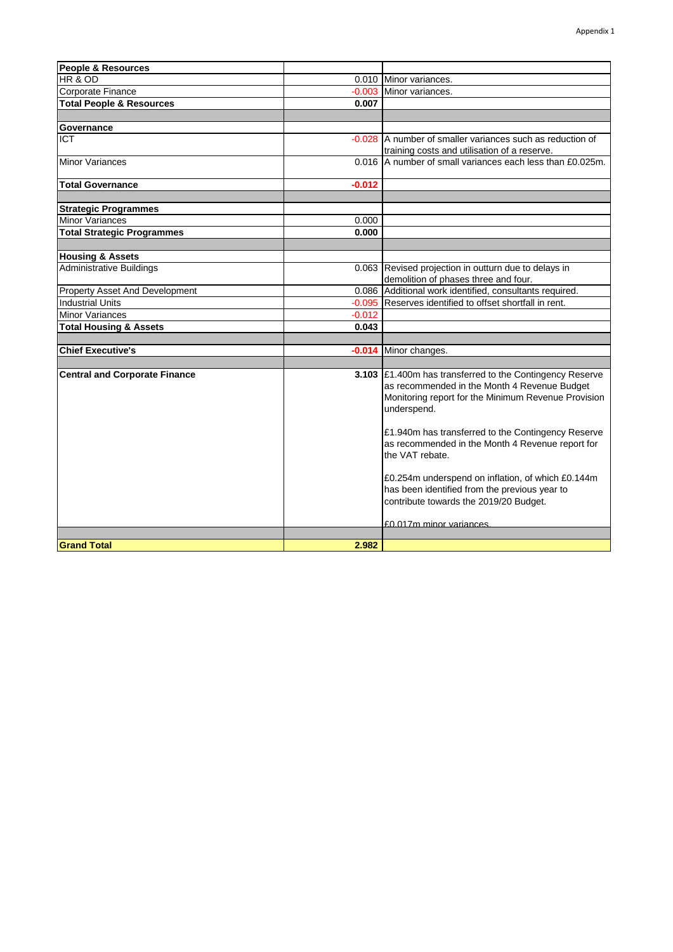| <b>People &amp; Resources</b>         |          |                                                                     |
|---------------------------------------|----------|---------------------------------------------------------------------|
| HR & OD                               |          | 0.010 Minor variances.                                              |
| Corporate Finance                     | $-0.003$ | Minor variances.                                                    |
| <b>Total People &amp; Resources</b>   | 0.007    |                                                                     |
|                                       |          |                                                                     |
| Governance                            |          |                                                                     |
| <b>ICT</b>                            | $-0.028$ | A number of smaller variances such as reduction of                  |
|                                       |          | training costs and utilisation of a reserve.                        |
| <b>Minor Variances</b>                |          | 0.016 A number of small variances each less than £0.025m.           |
| <b>Total Governance</b>               | $-0.012$ |                                                                     |
|                                       |          |                                                                     |
| <b>Strategic Programmes</b>           |          |                                                                     |
| <b>Minor Variances</b>                | 0.000    |                                                                     |
| <b>Total Strategic Programmes</b>     | 0.000    |                                                                     |
|                                       |          |                                                                     |
| <b>Housing &amp; Assets</b>           |          |                                                                     |
| <b>Administrative Buildings</b>       |          | 0.063 Revised projection in outturn due to delays in                |
|                                       |          | demolition of phases three and four.                                |
| <b>Property Asset And Development</b> | 0.086    | Additional work identified, consultants required.                   |
| <b>Industrial Units</b>               | $-0.095$ | Reserves identified to offset shortfall in rent.                    |
| <b>Minor Variances</b>                | $-0.012$ |                                                                     |
| <b>Total Housing &amp; Assets</b>     | 0.043    |                                                                     |
|                                       |          |                                                                     |
| <b>Chief Executive's</b>              |          | -0.014 Minor changes.                                               |
|                                       |          |                                                                     |
| <b>Central and Corporate Finance</b>  |          | 3.103 £1.400m has transferred to the Contingency Reserve            |
|                                       |          | as recommended in the Month 4 Revenue Budget                        |
|                                       |          | Monitoring report for the Minimum Revenue Provision                 |
|                                       |          | underspend.                                                         |
|                                       |          |                                                                     |
|                                       |          | £1.940m has transferred to the Contingency Reserve                  |
|                                       |          | as recommended in the Month 4 Revenue report for<br>the VAT rebate. |
|                                       |          |                                                                     |
|                                       |          | £0.254m underspend on inflation, of which £0.144m                   |
|                                       |          | has been identified from the previous year to                       |
|                                       |          | contribute towards the 2019/20 Budget.                              |
|                                       |          |                                                                     |
|                                       |          | £0.017m minor variances                                             |
|                                       |          |                                                                     |
| <b>Grand Total</b>                    | 2.982    |                                                                     |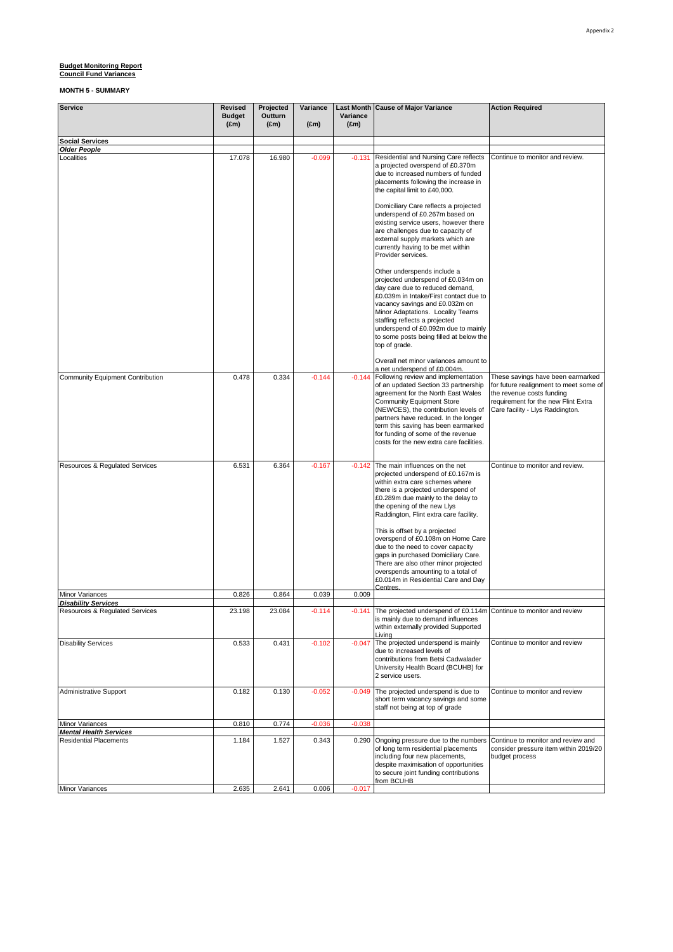| <b>Service</b>                                                 | <b>Revised</b><br><b>Budget</b><br>$(\text{Em})$ | Projected<br>Outturn<br>$(\text{Em})$ | Variance<br>$(\text{Em})$ | Variance<br>$(\text{Em})$ | Last Month Cause of Major Variance                                                                                                                                                                                                                                                                                                                                                                                                                                                                                                              | <b>Action Required</b>                                                                                                                                                              |
|----------------------------------------------------------------|--------------------------------------------------|---------------------------------------|---------------------------|---------------------------|-------------------------------------------------------------------------------------------------------------------------------------------------------------------------------------------------------------------------------------------------------------------------------------------------------------------------------------------------------------------------------------------------------------------------------------------------------------------------------------------------------------------------------------------------|-------------------------------------------------------------------------------------------------------------------------------------------------------------------------------------|
| <b>Social Services</b>                                         |                                                  |                                       |                           |                           |                                                                                                                                                                                                                                                                                                                                                                                                                                                                                                                                                 |                                                                                                                                                                                     |
| <b>Older People</b><br>Localities                              | 17.078                                           | 16.980                                | $-0.099$                  | $-0.131$                  | Residential and Nursing Care reflects<br>a projected overspend of £0.370m<br>due to increased numbers of funded<br>placements following the increase in<br>the capital limit to £40,000.                                                                                                                                                                                                                                                                                                                                                        | Continue to monitor and review.                                                                                                                                                     |
|                                                                |                                                  |                                       |                           |                           | Domiciliary Care reflects a projected<br>underspend of £0.267m based on<br>existing service users, however there<br>are challenges due to capacity of<br>external supply markets which are<br>currently having to be met within<br>Provider services.                                                                                                                                                                                                                                                                                           |                                                                                                                                                                                     |
|                                                                |                                                  |                                       |                           |                           | Other underspends include a<br>projected underspend of £0.034m on<br>day care due to reduced demand,<br>£0.039m in Intake/First contact due to<br>vacancy savings and £0.032m on<br>Minor Adaptations. Locality Teams<br>staffing reflects a projected<br>underspend of £0.092m due to mainly<br>to some posts being filled at below the<br>top of grade.                                                                                                                                                                                       |                                                                                                                                                                                     |
| <b>Community Equipment Contribution</b>                        | 0.478                                            | 0.334                                 | $-0.144$                  |                           | Overall net minor variances amount to<br>a net underspend of £0.004m.<br>-0.144 Following review and implementation<br>of an updated Section 33 partnership<br>agreement for the North East Wales<br><b>Community Equipment Store</b><br>(NEWCES), the contribution levels of<br>partners have reduced. In the longer<br>term this saving has been earmarked<br>for funding of some of the revenue<br>costs for the new extra care facilities.                                                                                                  | These savings have been earmarked<br>for future realignment to meet some of<br>the revenue costs funding<br>requirement for the new Flint Extra<br>Care facility - Llys Raddington. |
| Resources & Regulated Services                                 | 6.531                                            | 6.364                                 | $-0.167$                  | $-0.142$                  | The main influences on the net<br>projected underspend of £0.167m is<br>within extra care schemes where<br>there is a projected underspend of<br>£0.289m due mainly to the delay to<br>the opening of the new Llys<br>Raddington, Flint extra care facility.<br>This is offset by a projected<br>overspend of £0.108m on Home Care<br>due to the need to cover capacity<br>gaps in purchased Domiciliary Care.<br>There are also other minor projected<br>overspends amounting to a total of<br>£0.014m in Residential Care and Day<br>Centres. | Continue to monitor and review.                                                                                                                                                     |
| Minor Variances                                                | 0.826                                            | 0.864                                 | 0.039                     | 0.009                     |                                                                                                                                                                                                                                                                                                                                                                                                                                                                                                                                                 |                                                                                                                                                                                     |
| <b>Disability Services</b><br>Resources & Regulated Services   | 23.198                                           | 23.084                                | $-0.114$                  |                           | -0.141 The projected underspend of £0.114m Continue to monitor and review<br>is mainly due to demand influences<br>within externally provided Supported<br>Livina                                                                                                                                                                                                                                                                                                                                                                               |                                                                                                                                                                                     |
| <b>Disability Services</b>                                     | 0.533                                            | 0.431                                 | $-0.102$                  | $-0.047$                  | The projected underspend is mainly<br>due to increased levels of<br>contributions from Betsi Cadwalader<br>University Health Board (BCUHB) for<br>2 service users.                                                                                                                                                                                                                                                                                                                                                                              | Continue to monitor and review                                                                                                                                                      |
| Administrative Support                                         | 0.182                                            | 0.130                                 | $-0.052$                  | $-0.049$                  | The projected underspend is due to<br>short term vacancy savings and some<br>staff not being at top of grade                                                                                                                                                                                                                                                                                                                                                                                                                                    | Continue to monitor and review                                                                                                                                                      |
| Minor Variances                                                | 0.810                                            | 0.774                                 | $-0.036$                  | $-0.038$                  |                                                                                                                                                                                                                                                                                                                                                                                                                                                                                                                                                 |                                                                                                                                                                                     |
| <b>Mental Health Services</b><br><b>Residential Placements</b> | 1.184                                            | 1.527                                 | 0.343                     | 0.290                     | Ongoing pressure due to the numbers<br>of long term residential placements<br>including four new placements,<br>despite maximisation of opportunities<br>to secure joint funding contributions<br>from BCUHB                                                                                                                                                                                                                                                                                                                                    | Continue to monitor and review and<br>consider pressure item within 2019/20<br>budget process                                                                                       |
| Minor Variances                                                | 2.635                                            | 2.641                                 | 0.006                     | $-0.017$                  |                                                                                                                                                                                                                                                                                                                                                                                                                                                                                                                                                 |                                                                                                                                                                                     |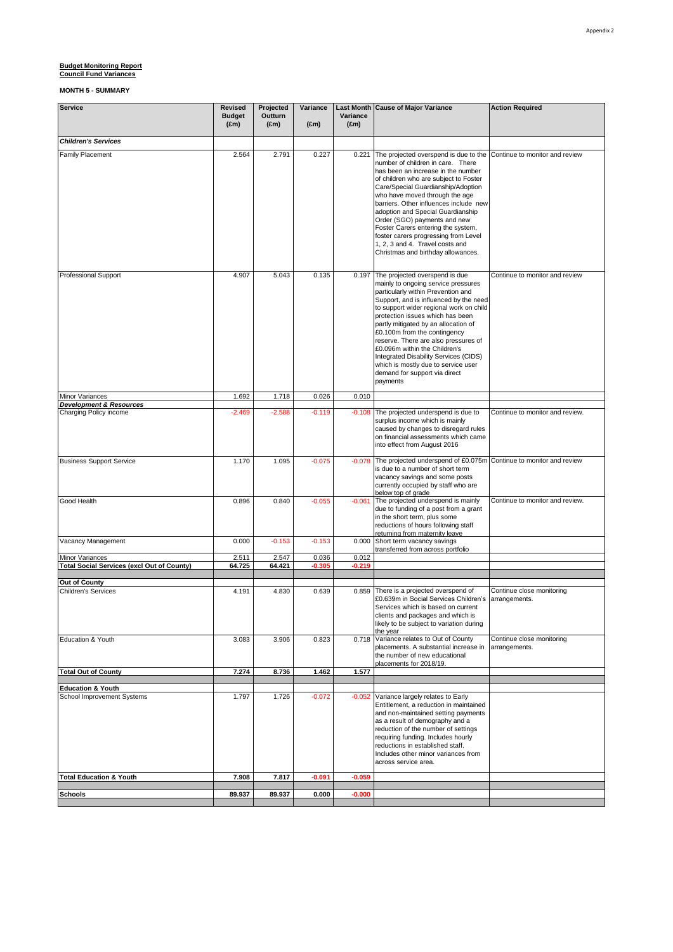| <b>Service</b>                                        | <b>Revised</b><br><b>Budget</b><br>$(\text{Em})$ | Projected<br>Outturn<br>$(\text{Em})$ | Variance<br>$(\text{Em})$ | Variance<br>$(\text{Em})$ | Last Month Cause of Major Variance                                                                                                                                                                                                                                                                                                                                                                                                                                                                                       | <b>Action Required</b>                     |
|-------------------------------------------------------|--------------------------------------------------|---------------------------------------|---------------------------|---------------------------|--------------------------------------------------------------------------------------------------------------------------------------------------------------------------------------------------------------------------------------------------------------------------------------------------------------------------------------------------------------------------------------------------------------------------------------------------------------------------------------------------------------------------|--------------------------------------------|
| <b>Children's Services</b>                            |                                                  |                                       |                           |                           |                                                                                                                                                                                                                                                                                                                                                                                                                                                                                                                          |                                            |
| <b>Family Placement</b>                               | 2.564                                            | 2.791                                 | 0.227                     |                           | 0.221 The projected overspend is due to the<br>number of children in care. There<br>has been an increase in the number<br>of children who are subject to Foster<br>Care/Special Guardianship/Adoption<br>who have moved through the age<br>barriers. Other influences include new<br>adoption and Special Guardianship<br>Order (SGO) payments and new<br>Foster Carers entering the system,<br>foster carers progressing from Level<br>1, 2, 3 and 4. Travel costs and<br>Christmas and birthday allowances.            | Continue to monitor and review             |
| <b>Professional Support</b>                           | 4.907                                            | 5.043                                 | 0.135                     |                           | 0.197 The projected overspend is due<br>mainly to ongoing service pressures<br>particularly within Prevention and<br>Support, and is influenced by the need<br>to support wider regional work on child<br>protection issues which has been<br>partly mitigated by an allocation of<br>£0.100m from the contingency<br>reserve. There are also pressures of<br>£0.096m within the Children's<br>Integrated Disability Services (CIDS)<br>which is mostly due to service user<br>demand for support via direct<br>payments | Continue to monitor and review             |
| Minor Variances<br><b>Development &amp; Resources</b> | 1.692                                            | 1.718                                 | 0.026                     | 0.010                     |                                                                                                                                                                                                                                                                                                                                                                                                                                                                                                                          |                                            |
| Charging Policy income                                | $-2.469$                                         | $-2.588$                              | $-0.119$                  |                           | -0.108 The projected underspend is due to<br>surplus income which is mainly<br>caused by changes to disregard rules<br>on financial assessments which came<br>into effect from August 2016                                                                                                                                                                                                                                                                                                                               | Continue to monitor and review.            |
| <b>Business Support Service</b>                       | 1.170                                            | 1.095                                 | $-0.075$                  | $-0.078$                  | The projected underspend of £0.075m Continue to monitor and review<br>is due to a number of short term<br>vacancy savings and some posts<br>currently occupied by staff who are<br>below top of grade                                                                                                                                                                                                                                                                                                                    |                                            |
| Good Health                                           | 0.896                                            | 0.840                                 | $-0.055$                  | $-0.061$                  | The projected underspend is mainly<br>due to funding of a post from a grant<br>in the short term, plus some<br>reductions of hours following staff<br>returning from maternity leave                                                                                                                                                                                                                                                                                                                                     | Continue to monitor and review.            |
| Vacancy Management                                    | 0.000                                            | $-0.153$                              | $-0.153$                  |                           | 0.000 Short term vacancy savings                                                                                                                                                                                                                                                                                                                                                                                                                                                                                         |                                            |
| Minor Variances                                       | 2.511                                            | 2.547                                 | 0.036                     | 0.012                     | transferred from across portfolio                                                                                                                                                                                                                                                                                                                                                                                                                                                                                        |                                            |
| <b>Total Social Services (excl Out of County)</b>     | 64.725                                           | 64.421                                | $-0.305$                  | $-0.219$                  |                                                                                                                                                                                                                                                                                                                                                                                                                                                                                                                          |                                            |
| Out of County                                         |                                                  |                                       |                           |                           |                                                                                                                                                                                                                                                                                                                                                                                                                                                                                                                          |                                            |
| <b>Children's Services</b>                            | 4.191                                            | 4.830                                 | 0.639                     |                           | 0.859 There is a projected overspend of<br>£0.639m in Social Services Children's arrangements.<br>Services which is based on current<br>clients and packages and which is<br>likely to be subject to variation during<br>the year                                                                                                                                                                                                                                                                                        | Continue close monitoring                  |
| Education & Youth                                     | 3.083                                            | 3.906                                 | 0.823                     |                           | 0.718 Variance relates to Out of County<br>placements. A substantial increase in<br>the number of new educational<br>placements for 2018/19.                                                                                                                                                                                                                                                                                                                                                                             | Continue close monitoring<br>arrangements. |
| <b>Total Out of County</b>                            | 7.274                                            | 8.736                                 | 1.462                     | 1.577                     |                                                                                                                                                                                                                                                                                                                                                                                                                                                                                                                          |                                            |
| <b>Education &amp; Youth</b>                          |                                                  |                                       |                           |                           |                                                                                                                                                                                                                                                                                                                                                                                                                                                                                                                          |                                            |
| School Improvement Systems                            | 1.797                                            | 1.726                                 | $-0.072$                  |                           | -0.052 Variance largely relates to Early<br>Entitlement, a reduction in maintained<br>and non-maintained setting payments<br>as a result of demography and a<br>reduction of the number of settings<br>requiring funding. Includes hourly<br>reductions in established staff.<br>Includes other minor variances from<br>across service area.                                                                                                                                                                             |                                            |
| <b>Total Education &amp; Youth</b>                    | 7.908                                            | 7.817                                 | $-0.091$                  | -0.059                    |                                                                                                                                                                                                                                                                                                                                                                                                                                                                                                                          |                                            |
| <b>Schools</b>                                        | 89.937                                           | 89.937                                | 0.000                     | $-0.000$                  |                                                                                                                                                                                                                                                                                                                                                                                                                                                                                                                          |                                            |
|                                                       |                                                  |                                       |                           |                           |                                                                                                                                                                                                                                                                                                                                                                                                                                                                                                                          |                                            |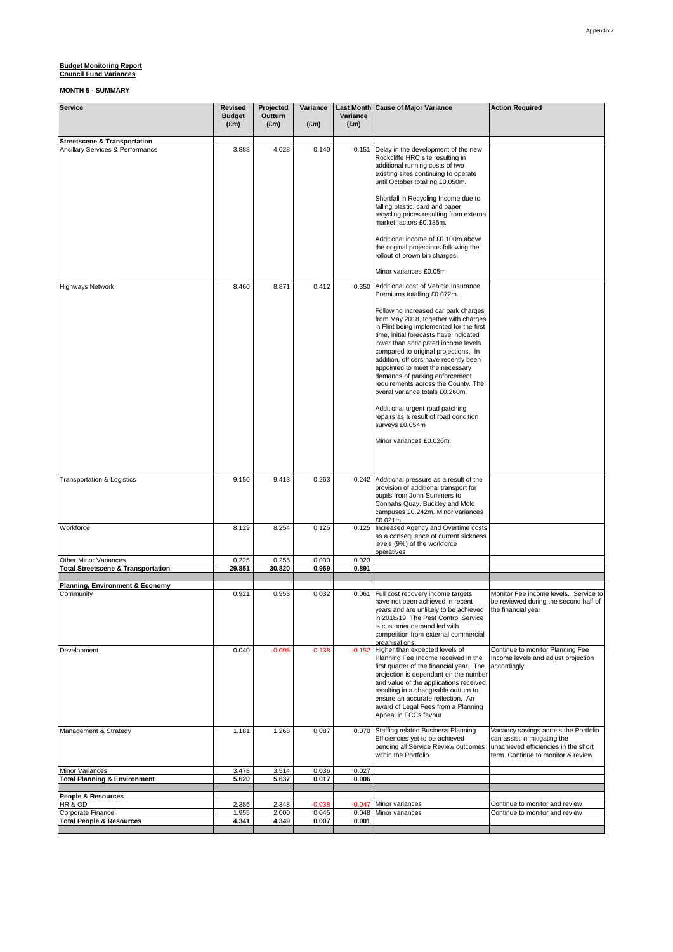| <b>Service</b>                                             | <b>Revised</b><br><b>Budget</b><br>$(\text{Em})$ | Projected<br>Outturn<br>$(\text{Em})$ | Variance<br>$(\text{Em})$ | Variance<br>$(\text{Em})$ | Last Month Cause of Major Variance                                                                                                                                                                                                                                                                                                                                                                                                         | <b>Action Required</b>                                                                                                                             |
|------------------------------------------------------------|--------------------------------------------------|---------------------------------------|---------------------------|---------------------------|--------------------------------------------------------------------------------------------------------------------------------------------------------------------------------------------------------------------------------------------------------------------------------------------------------------------------------------------------------------------------------------------------------------------------------------------|----------------------------------------------------------------------------------------------------------------------------------------------------|
| <b>Streetscene &amp; Transportation</b>                    |                                                  |                                       |                           |                           |                                                                                                                                                                                                                                                                                                                                                                                                                                            |                                                                                                                                                    |
| Ancillary Services & Performance                           | 3.888                                            | 4.028                                 | 0.140                     | 0.151                     | Delay in the development of the new<br>Rockcliffe HRC site resulting in<br>additional running costs of two<br>existing sites continuing to operate<br>until October totalling £0.050m.                                                                                                                                                                                                                                                     |                                                                                                                                                    |
|                                                            |                                                  |                                       |                           |                           | Shortfall in Recycling Income due to<br>falling plastic, card and paper<br>recycling prices resulting from external<br>market factors £0.185m.                                                                                                                                                                                                                                                                                             |                                                                                                                                                    |
|                                                            |                                                  |                                       |                           |                           | Additional income of £0.100m above<br>the original projections following the<br>rollout of brown bin charges.                                                                                                                                                                                                                                                                                                                              |                                                                                                                                                    |
|                                                            |                                                  |                                       |                           |                           | Minor variances £0.05m                                                                                                                                                                                                                                                                                                                                                                                                                     |                                                                                                                                                    |
| <b>Highways Network</b>                                    | 8.460                                            | 8.871                                 | 0.412                     | 0.350                     | Additional cost of Vehicle Insurance<br>Premiums totalling £0.072m.                                                                                                                                                                                                                                                                                                                                                                        |                                                                                                                                                    |
|                                                            |                                                  |                                       |                           |                           | Following increased car park charges<br>from May 2018, together with charges<br>in Flint being implemented for the first<br>time, initial forecasts have indicated<br>lower than anticipated income levels<br>compared to original projections. In<br>addition, officers have recently been<br>appointed to meet the necessary<br>demands of parking enforcement<br>requirements across the County. The<br>overal variance totals £0.260m. |                                                                                                                                                    |
|                                                            |                                                  |                                       |                           |                           | Additional urgent road patching<br>repairs as a result of road condition<br>surveys £0.054m                                                                                                                                                                                                                                                                                                                                                |                                                                                                                                                    |
|                                                            |                                                  |                                       |                           |                           | Minor variances £0.026m.                                                                                                                                                                                                                                                                                                                                                                                                                   |                                                                                                                                                    |
| Transportation & Logistics                                 | 9.150                                            | 9.413                                 | 0.263                     |                           | 0.242 Additional pressure as a result of the<br>provision of additional transport for<br>pupils from John Summers to<br>Connahs Quay, Buckley and Mold<br>campuses £0.242m. Minor variances<br>£0.021m.                                                                                                                                                                                                                                    |                                                                                                                                                    |
| Workforce                                                  | 8.129                                            | 8.254                                 | 0.125                     | 0.125                     | Increased Agency and Overtime costs<br>as a consequence of current sickness<br>levels (9%) of the workforce<br>operatives                                                                                                                                                                                                                                                                                                                  |                                                                                                                                                    |
| Other Minor Variances                                      | 0.225                                            | 0.255                                 | 0.030                     | 0.023                     |                                                                                                                                                                                                                                                                                                                                                                                                                                            |                                                                                                                                                    |
| <b>Total Streetscene &amp; Transportation</b>              | 29.851                                           | 30.820                                | 0.969                     | 0.891                     |                                                                                                                                                                                                                                                                                                                                                                                                                                            |                                                                                                                                                    |
| Planning, Environment & Economy                            |                                                  |                                       |                           |                           |                                                                                                                                                                                                                                                                                                                                                                                                                                            |                                                                                                                                                    |
| Community                                                  | 0.921                                            | 0.953                                 | 0.032                     | 0.061                     | Full cost recovery income targets<br>have not been achieved in recent<br>years and are unlikely to be achieved<br>in 2018/19. The Pest Control Service<br>is customer demand led with<br>competition from external commercial<br>organisations.                                                                                                                                                                                            | Monitor Fee income levels. Service to<br>be reviewed during the second half of<br>the financial year                                               |
| Development                                                | 0.040                                            | $-0.098$                              | $-0.138$                  |                           | -0.152 Higher than expected levels of<br>Planning Fee Income received in the<br>first quarter of the financial year. The<br>projection is dependant on the number<br>and value of the applications received,<br>resulting in a changeable outturn to<br>ensure an accurate reflection. An<br>award of Legal Fees from a Planning<br>Appeal in FCCs favour                                                                                  | Continue to monitor Planning Fee<br>Income levels and adjust projection<br>accordingly                                                             |
| Management & Strategy                                      | 1.181                                            | 1.268                                 | 0.087                     |                           | 0.070 Staffing related Business Planning<br>Efficiencies yet to be achieved<br>pending all Service Review outcomes<br>within the Portfolio.                                                                                                                                                                                                                                                                                                | Vacancy savings across the Portfolio<br>can assist in mitigating the<br>unachieved efficiencies in the short<br>term. Continue to monitor & review |
| Minor Variances<br><b>Total Planning &amp; Environment</b> | 3.478<br>5.620                                   | 3.514<br>5.637                        | 0.036<br>0.017            | 0.027<br>0.006            |                                                                                                                                                                                                                                                                                                                                                                                                                                            |                                                                                                                                                    |
|                                                            |                                                  |                                       |                           |                           |                                                                                                                                                                                                                                                                                                                                                                                                                                            |                                                                                                                                                    |
| People & Resources                                         |                                                  |                                       |                           |                           |                                                                                                                                                                                                                                                                                                                                                                                                                                            |                                                                                                                                                    |
| HR & OD<br>Corporate Finance                               | 2.386<br>1.955                                   | 2.348<br>2.000                        | $-0.038$<br>0.045         | $-0.047$                  | Minor variances<br>0.048 Minor variances                                                                                                                                                                                                                                                                                                                                                                                                   | Continue to monitor and review<br>Continue to monitor and review                                                                                   |
| <b>Total People &amp; Resources</b>                        | 4.341                                            | 4.349                                 | 0.007                     | 0.001                     |                                                                                                                                                                                                                                                                                                                                                                                                                                            |                                                                                                                                                    |
|                                                            |                                                  |                                       |                           |                           |                                                                                                                                                                                                                                                                                                                                                                                                                                            |                                                                                                                                                    |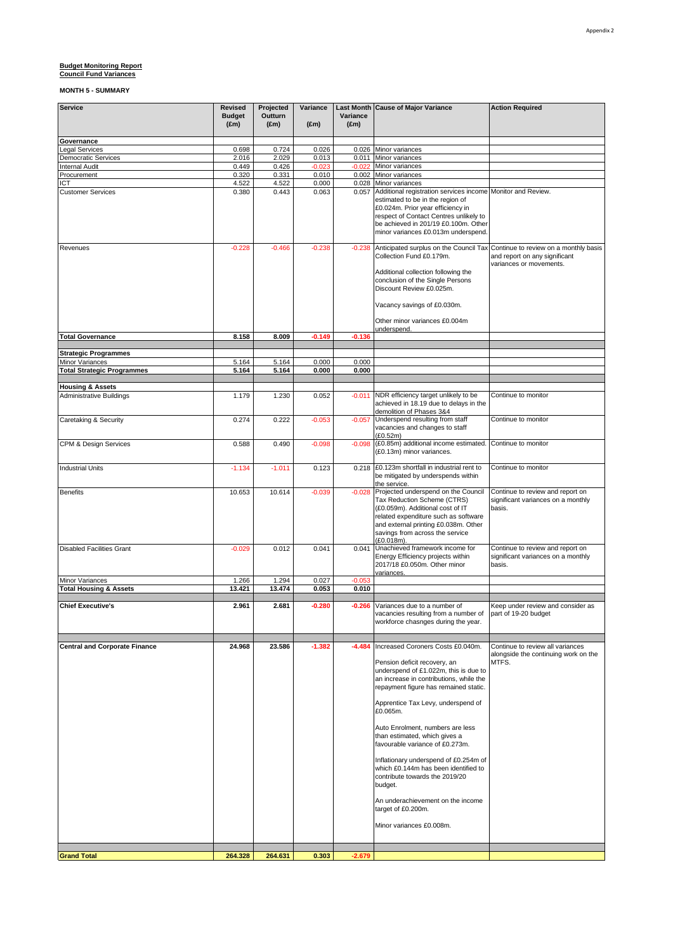| <b>Service</b>                                       | <b>Revised</b>                 | Projected                | Variance          |                           | Last Month Cause of Major Variance                                               | <b>Action Required</b>                                                   |
|------------------------------------------------------|--------------------------------|--------------------------|-------------------|---------------------------|----------------------------------------------------------------------------------|--------------------------------------------------------------------------|
|                                                      | <b>Budget</b><br>$(\text{Em})$ | Outturn<br>$(\text{Em})$ | $(\text{Em})$     | Variance<br>$(\text{Em})$ |                                                                                  |                                                                          |
|                                                      |                                |                          |                   |                           |                                                                                  |                                                                          |
| Governance                                           |                                |                          |                   |                           |                                                                                  |                                                                          |
| Legal Services                                       | 0.698                          | 0.724                    | 0.026             |                           | 0.026 Minor variances                                                            |                                                                          |
| <b>Democratic Services</b><br><b>Internal Audit</b>  | 2.016<br>0.449                 | 2.029<br>0.426           | 0.013<br>$-0.023$ | 0.011<br>$-0.022$         | Minor variances<br>Minor variances                                               |                                                                          |
| Procurement                                          | 0.320                          | 0.331                    | 0.010             | 0.002                     | Minor variances                                                                  |                                                                          |
| ICT                                                  | 4.522                          | 4.522                    | 0.000             |                           | 0.028 Minor variances                                                            |                                                                          |
| <b>Customer Services</b>                             | 0.380                          | 0.443                    | 0.063             |                           | 0.057 Additional registration services income Monitor and Review.                |                                                                          |
|                                                      |                                |                          |                   |                           | estimated to be in the region of<br>£0.024m. Prior year efficiency in            |                                                                          |
|                                                      |                                |                          |                   |                           | respect of Contact Centres unlikely to                                           |                                                                          |
|                                                      |                                |                          |                   |                           | be achieved in 201/19 £0.100m. Other                                             |                                                                          |
|                                                      |                                |                          |                   |                           | minor variances £0.013m underspend.                                              |                                                                          |
| Revenues                                             | $-0.228$                       | $-0.466$                 | $-0.238$          | $-0.238$                  | Anticipated surplus on the Council Tax Continue to review on a monthly basis     |                                                                          |
|                                                      |                                |                          |                   |                           | Collection Fund £0.179m.                                                         | and report on any significant                                            |
|                                                      |                                |                          |                   |                           | Additional collection following the                                              | variances or movements.                                                  |
|                                                      |                                |                          |                   |                           | conclusion of the Single Persons                                                 |                                                                          |
|                                                      |                                |                          |                   |                           | Discount Review £0.025m.                                                         |                                                                          |
|                                                      |                                |                          |                   |                           | Vacancy savings of £0.030m.                                                      |                                                                          |
|                                                      |                                |                          |                   |                           |                                                                                  |                                                                          |
|                                                      |                                |                          |                   |                           | Other minor variances £0.004m                                                    |                                                                          |
| <b>Total Governance</b>                              | 8.158                          | 8.009                    | $-0.149$          | $-0.136$                  | underspend.                                                                      |                                                                          |
|                                                      |                                |                          |                   |                           |                                                                                  |                                                                          |
| <b>Strategic Programmes</b>                          |                                |                          |                   |                           |                                                                                  |                                                                          |
| Minor Variances<br><b>Total Strategic Programmes</b> | 5.164<br>5.164                 | 5.164<br>5.164           | 0.000<br>0.000    | 0.000<br>0.000            |                                                                                  |                                                                          |
|                                                      |                                |                          |                   |                           |                                                                                  |                                                                          |
| <b>Housing &amp; Assets</b>                          |                                |                          |                   |                           |                                                                                  |                                                                          |
| Administrative Buildings                             | 1.179                          | 1.230                    | 0.052             | $-0.011$                  | NDR efficiency target unlikely to be                                             | Continue to monitor                                                      |
|                                                      |                                |                          |                   |                           | achieved in 18.19 due to delays in the<br>demolition of Phases 3&4               |                                                                          |
| Caretaking & Security                                | 0.274                          | 0.222                    | $-0.053$          | $-0.057$                  | Underspend resulting from staff                                                  | Continue to monitor                                                      |
|                                                      |                                |                          |                   |                           | vacancies and changes to staff                                                   |                                                                          |
| CPM & Design Services                                | 0.588                          | 0.490                    | $-0.098$          | $-0.098$                  | (E0.52m)<br>(£0.85m) additional income estimated.                                | Continue to monitor                                                      |
|                                                      |                                |                          |                   |                           | (£0.13m) minor variances.                                                        |                                                                          |
|                                                      |                                |                          |                   |                           |                                                                                  |                                                                          |
| <b>Industrial Units</b>                              | $-1.134$                       | $-1.011$                 | 0.123             |                           | 0.218 £0.123m shortfall in industrial rent to                                    | Continue to monitor                                                      |
|                                                      |                                |                          |                   |                           | be mitigated by underspends within<br>the service.                               |                                                                          |
| <b>Benefits</b>                                      | 10.653                         | 10.614                   | $-0.039$          | $-0.028$                  | Projected underspend on the Council                                              | Continue to review and report on                                         |
|                                                      |                                |                          |                   |                           | Tax Reduction Scheme (CTRS)                                                      | significant variances on a monthly                                       |
|                                                      |                                |                          |                   |                           | (£0.059m). Additional cost of IT<br>related expenditure such as software         | basis.                                                                   |
|                                                      |                                |                          |                   |                           | and external printing £0.038m. Other                                             |                                                                          |
|                                                      |                                |                          |                   |                           | savings from across the service                                                  |                                                                          |
| <b>Disabled Facilities Grant</b>                     | $-0.029$                       | 0.012                    | 0.041             | 0.041                     | (£0.018m).<br>Unachieved framework income for                                    | Continue to review and report on                                         |
|                                                      |                                |                          |                   |                           | Energy Efficiency projects within                                                | significant variances on a monthly                                       |
|                                                      |                                |                          |                   |                           | 2017/18 £0.050m. Other minor                                                     | basis.                                                                   |
| Minor Variances                                      | 1.266                          | 1.294                    | 0.027             | $-0.053$                  | variances.                                                                       |                                                                          |
| <b>Total Housing &amp; Assets</b>                    | 13.421                         | 13.474                   | 0.053             | 0.010                     |                                                                                  |                                                                          |
|                                                      |                                |                          |                   |                           |                                                                                  |                                                                          |
| <b>Chief Executive's</b>                             | 2.961                          | 2.681                    | $-0.280$          |                           | -0.266 Variances due to a number of                                              | Keep under review and consider as                                        |
|                                                      |                                |                          |                   |                           | vacancies resulting from a number of<br>workforce chasnges during the year.      | part of 19-20 budget                                                     |
|                                                      |                                |                          |                   |                           |                                                                                  |                                                                          |
|                                                      |                                |                          |                   |                           |                                                                                  |                                                                          |
| <b>Central and Corporate Finance</b>                 | 24.968                         | 23.586                   | $-1.382$          | $-4.484$                  | Increased Coroners Costs £0.040m.                                                | Continue to review all variances<br>alongside the continuing work on the |
|                                                      |                                |                          |                   |                           | Pension deficit recovery, an                                                     | MTFS.                                                                    |
|                                                      |                                |                          |                   |                           | underspend of £1.022m, this is due to                                            |                                                                          |
|                                                      |                                |                          |                   |                           | an increase in contributions, while the<br>repayment figure has remained static. |                                                                          |
|                                                      |                                |                          |                   |                           |                                                                                  |                                                                          |
|                                                      |                                |                          |                   |                           | Apprentice Tax Levy, underspend of                                               |                                                                          |
|                                                      |                                |                          |                   |                           | £0.065m.                                                                         |                                                                          |
|                                                      |                                |                          |                   |                           | Auto Enrolment, numbers are less                                                 |                                                                          |
|                                                      |                                |                          |                   |                           | than estimated, which gives a                                                    |                                                                          |
|                                                      |                                |                          |                   |                           | favourable variance of £0.273m.                                                  |                                                                          |
|                                                      |                                |                          |                   |                           | Inflationary underspend of £0.254m of                                            |                                                                          |
|                                                      |                                |                          |                   |                           | which £0.144m has been identified to                                             |                                                                          |
|                                                      |                                |                          |                   |                           | contribute towards the 2019/20                                                   |                                                                          |
|                                                      |                                |                          |                   |                           | budget.                                                                          |                                                                          |
|                                                      |                                |                          |                   |                           | An underachievement on the income                                                |                                                                          |
|                                                      |                                |                          |                   |                           | target of £0.200m.                                                               |                                                                          |
|                                                      |                                |                          |                   |                           | Minor variances £0.008m.                                                         |                                                                          |
|                                                      |                                |                          |                   |                           |                                                                                  |                                                                          |
|                                                      |                                |                          |                   |                           |                                                                                  |                                                                          |
| <b>Grand Total</b>                                   | 264.328                        | 264.631                  | 0.303             | $-2.679$                  |                                                                                  |                                                                          |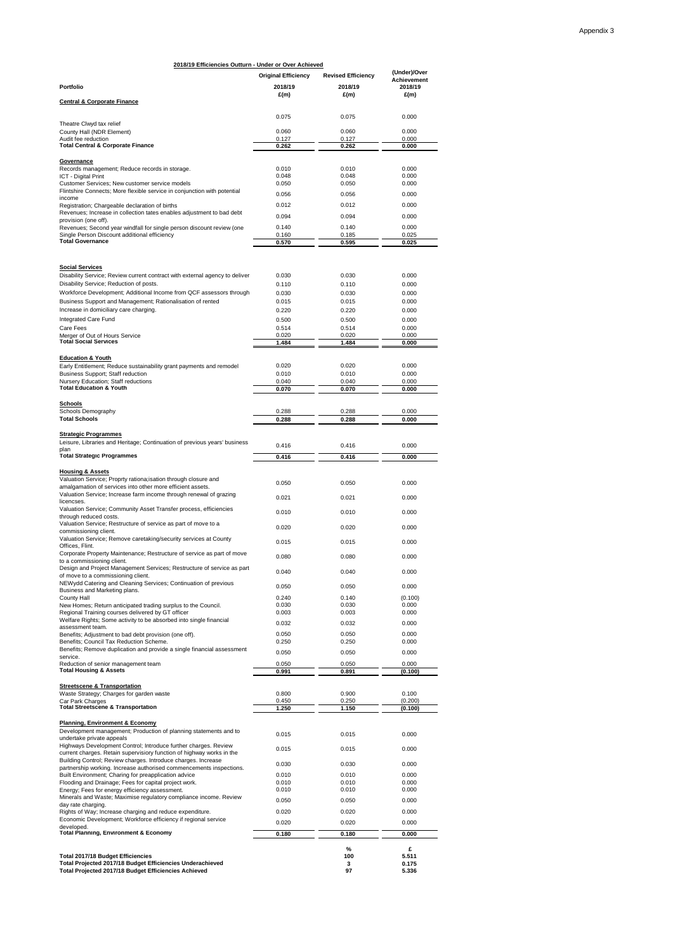| 2018/19 Efficiencies Outturn - Under or Over Achieved                                                                                    |                            |                           |                               |
|------------------------------------------------------------------------------------------------------------------------------------------|----------------------------|---------------------------|-------------------------------|
|                                                                                                                                          | <b>Original Efficiency</b> | <b>Revised Efficiency</b> | (Under)/Over                  |
| <b>Portfolio</b>                                                                                                                         | 2018/19                    | 2018/19                   | <b>Achievement</b><br>2018/19 |
|                                                                                                                                          | E(m)                       | E(m)                      | E(m)                          |
| <b>Central &amp; Corporate Finance</b>                                                                                                   |                            |                           |                               |
|                                                                                                                                          | 0.075                      | 0.075                     | 0.000                         |
| Theatre Clwyd tax relief<br>County Hall (NDR Element)                                                                                    | 0.060                      | 0.060                     | 0.000                         |
| Audit fee reduction                                                                                                                      | 0.127                      | 0.127                     | 0.000                         |
| <b>Total Central &amp; Corporate Finance</b>                                                                                             | 0.262                      | 0.262                     | 0.000                         |
| Governance                                                                                                                               |                            |                           |                               |
| Records management; Reduce records in storage.<br><b>ICT - Digital Print</b>                                                             | 0.010<br>0.048             | 0.010<br>0.048            | 0.000<br>0.000                |
| Customer Services; New customer service models                                                                                           | 0.050                      | 0.050                     | 0.000                         |
| Flintshire Connects; More flexible service in conjunction with potential<br>income                                                       | 0.056                      | 0.056                     | 0.000                         |
| Registration; Chargeable declaration of births                                                                                           | 0.012                      | 0.012                     | 0.000                         |
| Revenues; Increase in collection tates enables adjustment to bad debt<br>provision (one off).                                            | 0.094                      | 0.094                     | 0.000                         |
| Revenues; Second year windfall for single person discount review (one                                                                    | 0.140                      | 0.140                     | 0.000                         |
| Single Person Discount additional efficiency<br><b>Total Governance</b>                                                                  | 0.160<br>0.570             | 0.185<br>0.595            | 0.025<br>0.025                |
|                                                                                                                                          |                            |                           |                               |
| <b>Social Services</b>                                                                                                                   |                            |                           |                               |
| Disability Service; Review current contract with external agency to deliver                                                              | 0.030                      | 0.030                     | 0.000                         |
| Disability Service; Reduction of posts.                                                                                                  | 0.110                      | 0.110                     | 0.000                         |
| Workforce Development; Additional Income from QCF assessors through                                                                      | 0.030                      | 0.030                     | 0.000                         |
| Business Support and Management; Rationalisation of rented<br>Increase in domiciliary care charging.                                     | 0.015<br>0.220             | 0.015<br>0.220            | 0.000<br>0.000                |
| Integrated Care Fund                                                                                                                     | 0.500                      | 0.500                     | 0.000                         |
| <b>Care Fees</b>                                                                                                                         | 0.514                      | 0.514                     | 0.000                         |
| Merger of Out of Hours Service<br><b>Total Social Services</b>                                                                           | 0.020<br>1.484             | 0.020<br>1.484            | 0.000<br>0.000                |
|                                                                                                                                          |                            |                           |                               |
| <b>Education &amp; Youth</b><br>Early Entitlement; Reduce sustainability grant payments and remodel                                      | 0.020                      | 0.020                     | 0.000                         |
| Business Support; Staff reduction                                                                                                        | 0.010                      | 0.010                     | 0.000                         |
| Nursery Education; Staff reductions<br><b>Total Education &amp; Youth</b>                                                                | 0.040                      | 0.040                     | 0.000                         |
|                                                                                                                                          | 0.070                      | 0.070                     | 0.000                         |
| <b>Schools</b>                                                                                                                           |                            |                           |                               |
| Schools Demography<br><b>Total Schools</b>                                                                                               | 0.288<br>0.288             | 0.288<br>0.288            | 0.000<br>0.000                |
|                                                                                                                                          |                            |                           |                               |
| <b>Strategic Programmes</b><br>Leisure, Libraries and Heritage; Continuation of previous years' business                                 |                            |                           |                               |
| plan                                                                                                                                     | 0.416                      | 0.416                     | 0.000                         |
| <b>Total Strategic Programmes</b>                                                                                                        | 0.416                      | 0.416                     | 0.000                         |
| <b>Housing &amp; Assets</b>                                                                                                              |                            |                           |                               |
| Valuation Service; Proprty rationa; isation through closure and<br>amalgamation of services into other more efficient assets.            | 0.050                      | 0.050                     | 0.000                         |
| Valuation Service; Increase farm income through renewal of grazing                                                                       | 0.021                      | 0.021                     | 0.000                         |
| licencses.<br>Valuation Service; Community Asset Transfer process, efficiencies                                                          |                            |                           |                               |
| through reduced costs.                                                                                                                   | 0.010                      | 0.010                     | 0.000                         |
| Valuation Service; Restructure of service as part of move to a<br>commissioning client.                                                  | 0.020                      | 0.020                     | 0.000                         |
| Valuation Service; Remove caretaking/security services at County                                                                         | 0.015                      | 0.015                     | 0.000                         |
| Offices, Flint.<br>Corporate Property Maintenance; Restructure of service as part of move                                                |                            |                           |                               |
| to a commissioning client.                                                                                                               | 0.080                      | 0.080                     | 0.000                         |
| Design and Project Management Services; Restructure of service as part                                                                   | 0.040                      | 0.040                     | 0.000                         |
| of move to a commissioning client.<br>NEWydd Catering and Cleaning Services; Continuation of previous                                    |                            | 0.050                     | 0.000                         |
| Business and Marketing plans.                                                                                                            | 0.050                      |                           |                               |
| County Hall<br>New Homes; Return anticipated trading surplus to the Council.                                                             | 0.240<br>0.030             | 0.140<br>0.030            | (0.100)<br>0.000              |
| Regional Training courses delivered by GT officer                                                                                        | 0.003                      | 0.003                     | 0.000                         |
| Welfare Rights; Some activity to be absorbed into single financial<br>assessment team.                                                   | 0.032                      | 0.032                     | 0.000                         |
| Benefits; Adjustment to bad debt provision (one off).                                                                                    | 0.050                      | 0.050                     | 0.000                         |
| Benefits; Council Tax Reduction Scheme.<br>Benefits; Remove duplication and provide a single financial assessment                        | 0.250                      | 0.250                     | 0.000                         |
| service.                                                                                                                                 | 0.050                      | 0.050                     | 0.000                         |
| Reduction of senior management team<br><b>Total Housing &amp; Assets</b>                                                                 | 0.050<br>0.991             | 0.050<br>0.891            | 0.000<br>(0.100)              |
|                                                                                                                                          |                            |                           |                               |
| <b>Streetscene &amp; Transportation</b><br>Waste Strategy; Charges for garden waste                                                      | 0.800                      | 0.900                     | 0.100                         |
| Car Park Charges<br><b>Total Streetscene &amp; Transportation</b>                                                                        | 0.450<br>1.250             | 0.250                     | (0.200)                       |
|                                                                                                                                          |                            | 1.150                     | (0.100)                       |
| <b>Planning, Environment &amp; Economy</b><br>Development management; Production of planning statements and to                           |                            |                           |                               |
| undertake private appeals                                                                                                                | 0.015                      | 0.015                     | 0.000                         |
| Highways Development Control; Introduce further charges. Review<br>current charges. Retain supervisiory function of highway works in the | 0.015                      | 0.015                     | 0.000                         |
| Building Control; Review charges. Introduce charges. Increase                                                                            | 0.030                      | 0.030                     | 0.000                         |
| partnership working. Increase authorised commencements inspections.                                                                      | 0.010                      | 0.010                     | 0.000                         |
| Built Environment; Charing for preapplication advice<br>Flooding and Drainage; Fees for capital project work.                            | 0.010                      | 0.010                     | 0.000                         |
| Energy; Fees for energy efficiency assessment.                                                                                           | 0.010                      | 0.010                     | 0.000                         |
| Minerals and Waste; Maximise regulatory compliance income. Review<br>day rate charging.                                                  | 0.050                      | 0.050                     | 0.000                         |
| Rights of Way; Increase charging and reduce expenditure.                                                                                 | 0.020                      | 0.020                     | 0.000                         |
| Economic Development; Workforce efficiency if regional service<br>developed.                                                             | 0.020                      | 0.020                     | 0.000                         |
| <b>Total Planning, Environment &amp; Economy</b>                                                                                         | 0.180                      | 0.180                     | 0.000                         |
|                                                                                                                                          |                            | %                         | £                             |
| <b>Total 2017/18 Budget Efficiencies</b>                                                                                                 |                            | 100                       | 5.511                         |
| Total Projected 2017/18 Budget Efficiencies Underachieved<br>Total Projected 2017/18 Budget Efficiencies Achieved                        |                            | 3<br>97                   | 0.175<br>5.336                |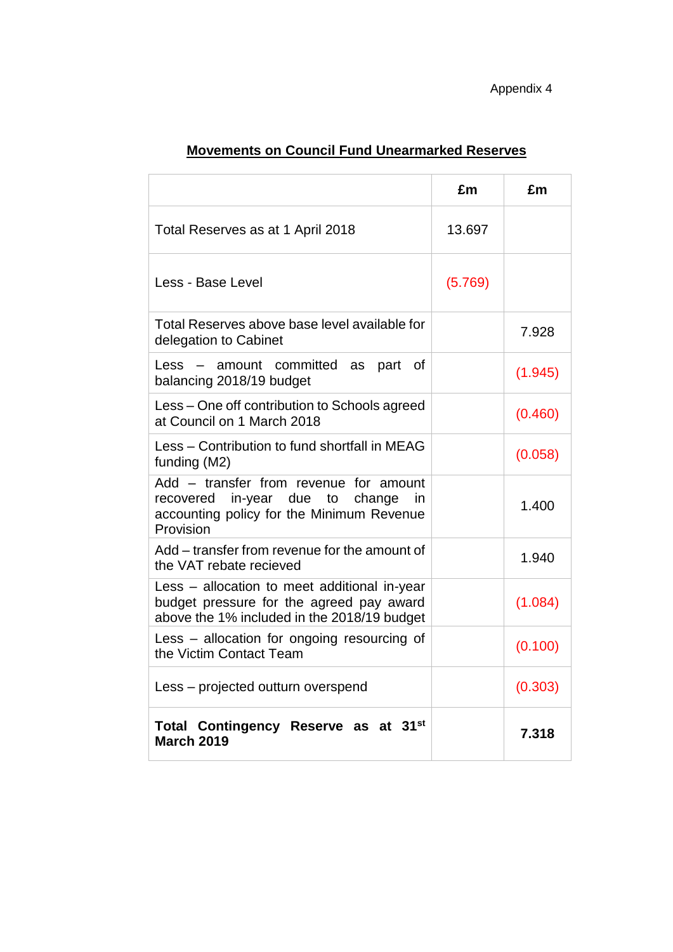|                                                                                                                                              | £m      | £m      |
|----------------------------------------------------------------------------------------------------------------------------------------------|---------|---------|
| Total Reserves as at 1 April 2018                                                                                                            | 13.697  |         |
| Less - Base Level                                                                                                                            | (5.769) |         |
| Total Reserves above base level available for<br>delegation to Cabinet                                                                       |         | 7.928   |
| - amount committed as part of<br>Less<br>balancing 2018/19 budget                                                                            |         | (1.945) |
| Less – One off contribution to Schools agreed<br>at Council on 1 March 2018                                                                  |         | (0.460) |
| Less - Contribution to fund shortfall in MEAG<br>funding (M2)                                                                                |         | (0.058) |
| Add - transfer from revenue for amount<br>recovered in-year due to<br>change<br>in<br>accounting policy for the Minimum Revenue<br>Provision |         | 1.400   |
| Add – transfer from revenue for the amount of<br>the VAT rebate recieved                                                                     |         | 1.940   |
| Less – allocation to meet additional in-year<br>budget pressure for the agreed pay award<br>above the 1% included in the 2018/19 budget      |         | (1.084) |
| Less – allocation for ongoing resourcing of<br>the Victim Contact Team                                                                       |         | (0.100) |
| Less - projected outturn overspend                                                                                                           |         | (0.303) |
| Total Contingency Reserve as at 31 <sup>st</sup><br><b>March 2019</b>                                                                        |         | 7.318   |

# **Movements on Council Fund Unearmarked Reserves**